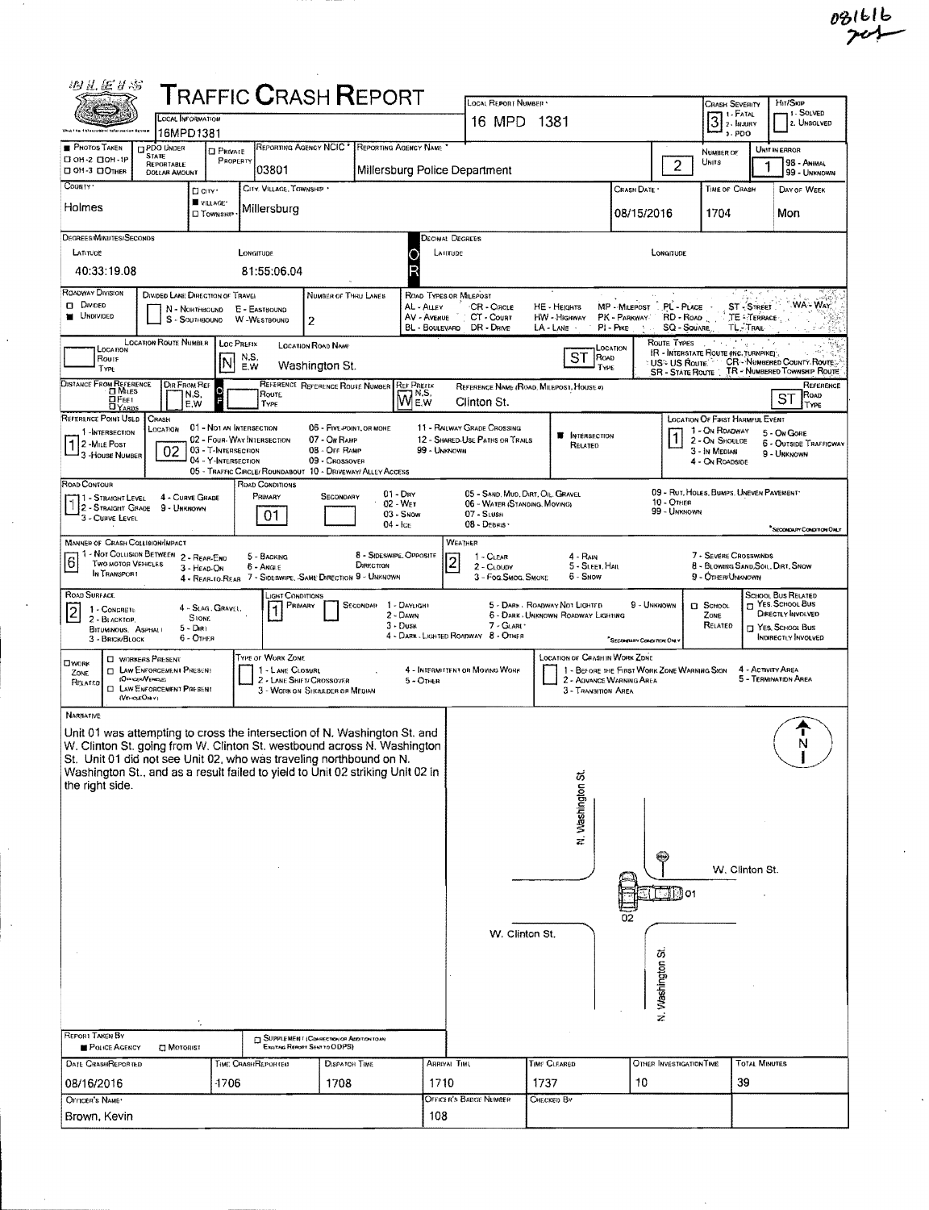| 羽孔医甘志                                                                                                                                                                                                                                                                                                                                                |                                                                 |                                                                        |                                  | <b>TRAFFIC CRASH REPORT</b>                                                                                                                |                                                            |                                                     | LOCAL REPORT NUMBER                                                                                                                                                                                                     |                                                                      |                           |                                                                        | CRASH SEVERITY                                                                                                 |                                                      | HIT/SKIP                                                                                                        |
|------------------------------------------------------------------------------------------------------------------------------------------------------------------------------------------------------------------------------------------------------------------------------------------------------------------------------------------------------|-----------------------------------------------------------------|------------------------------------------------------------------------|----------------------------------|--------------------------------------------------------------------------------------------------------------------------------------------|------------------------------------------------------------|-----------------------------------------------------|-------------------------------------------------------------------------------------------------------------------------------------------------------------------------------------------------------------------------|----------------------------------------------------------------------|---------------------------|------------------------------------------------------------------------|----------------------------------------------------------------------------------------------------------------|------------------------------------------------------|-----------------------------------------------------------------------------------------------------------------|
|                                                                                                                                                                                                                                                                                                                                                      | <b>LOCAL INFORMATION</b><br>16MPD1381                           |                                                                        |                                  |                                                                                                                                            |                                                            |                                                     | 16 MPD 1381                                                                                                                                                                                                             |                                                                      |                           |                                                                        | $3$ : Fatal $3$<br>$3 - POO$                                                                                   |                                                      | 1 - SOLVED<br>2. UNSOLVED                                                                                       |
| <b>PHOTOS TAKEN</b><br>П он-2 ПОН-1Р<br><b>DON-3 DOTHER</b>                                                                                                                                                                                                                                                                                          | PDO UNDER<br><b>STATE</b><br>REPORTABLE<br><b>DOLLAR AMOUNT</b> | <b>CI PRIVATE</b><br>PROPERTY                                          | 03801                            | REPORTING AGENCY NCIC . REPORTING AGENCY NAME                                                                                              |                                                            |                                                     | Millersburg Police Department                                                                                                                                                                                           |                                                                      |                           | 2                                                                      | <b>NUMBER OF</b><br>UNITS                                                                                      |                                                      | UNIT IN ERROR<br>98 - ANHAAL<br>99 - UNKNOWN                                                                    |
| COUNTY '                                                                                                                                                                                                                                                                                                                                             |                                                                 | $\Box$ CITY'<br>VILLAGE*                                               | CITY, VILLAGE, TOWNSHIP          |                                                                                                                                            |                                                            |                                                     |                                                                                                                                                                                                                         |                                                                      | CRASH DATE                |                                                                        | TIME OF CRASH                                                                                                  |                                                      | DAY OF WEEK                                                                                                     |
| Holmes                                                                                                                                                                                                                                                                                                                                               |                                                                 | <b>D</b> TOWNSHIP                                                      | Millersburg                      |                                                                                                                                            |                                                            |                                                     |                                                                                                                                                                                                                         |                                                                      | 08/15/2016                |                                                                        | 1704                                                                                                           |                                                      | Mon                                                                                                             |
| DEGREES/MINUTES/SECONDS<br>LATITUDE<br>40:33:19.08                                                                                                                                                                                                                                                                                                   |                                                                 |                                                                        | LONGITUDE<br>81:55:06.04         |                                                                                                                                            |                                                            | <b>Decimal Degrees</b><br>LATITUDE                  |                                                                                                                                                                                                                         |                                                                      |                           | LONGITUDE                                                              |                                                                                                                |                                                      |                                                                                                                 |
| ROADWAY DIVISION<br>$\Box$ Divided<br><b>MOIVIDED</b>                                                                                                                                                                                                                                                                                                | DIVIDED LANE DIRECTION OF TRAVEL                                | N - Northeound<br>S - SOUTHBOUND                                       | E - EASTBOUND<br>W-WESTBOUND     | NUMBER OF THRU LANES<br>2                                                                                                                  |                                                            | ROAD TYPES OR MILEPOST<br>AL - ALLEY<br>AV - AVENUE | CR - CIRCLE<br>CT - Count<br>BL - BOULEVARD DR - DRIVE                                                                                                                                                                  | HE - HEIGHTS<br>HW - Highway<br>LA-LANE                              | PK - PARKWAY<br>PI - PIKE | MP MILEPOST PL PLACE<br>RD - ROAD<br><b>SQ - SOUARE</b>                |                                                                                                                | <b>ST-STREET</b><br>TE - TERRACE<br><b>TL. TRAIL</b> | WA-WAY                                                                                                          |
| LOCATION<br>Route<br>TYPE                                                                                                                                                                                                                                                                                                                            | <b>LOCATION ROUTE NUMBER</b>                                    |                                                                        | LOC PREFIX<br>N.S.<br>E.W        | <b>LOCATION ROAD NAME</b><br>Washington St.                                                                                                |                                                            |                                                     |                                                                                                                                                                                                                         | ST<br>ROAD<br>TYPE                                                   | LOCATION                  | ROUTE TYPES<br>IR - INTERSTATE ROUTE (INC. TURNPIKE)<br>≑US≎ US Route. |                                                                                                                |                                                      | <b>CR-NUMBERED COUNTY ROUTE:</b><br>SR - STATE ROUTE : TR - NUMBERED TOWNSHIP ROUTE                             |
| DISTANCE FROM REFERENCE<br>ОРеет<br>DYARDS                                                                                                                                                                                                                                                                                                           | DIR FROM REF<br>N,S,<br>E.W                                     |                                                                        | ROUTE<br>TYPE                    | REFERENCE REFERENCE ROUTE NUMBER                                                                                                           | <b>REF PREFIX</b><br>WE.W                                  |                                                     | Clinton St.                                                                                                                                                                                                             | REFERENCE NAME (ROAD, MILEPOST, HOUSE #)                             |                           |                                                                        |                                                                                                                |                                                      | REFERENCE<br>Roap<br>ST<br>TYPE                                                                                 |
| REFERENCE POINT USED<br>1-INTERSECTION<br>2 - MILE POST<br>3 - House NUMBER                                                                                                                                                                                                                                                                          | CRASH<br>LOCATION<br>02                                         | 01 - Not an Intersection<br>03 - T-Intersection<br>04 - Y-INTERSECTION | 02 - FOUR-WAY INTERSECTION       | 06 - FIVE-POINT, OR MONE<br>07 - On RAMP<br>08 - Off RAMP<br>09 - Crossover<br>05 - TRAFFIC CIRCLE/ ROUNDABOUT 10 - DRIVEWAY/ ALLEY ACCESS |                                                            | 99 - UNKNOWN                                        | 11 - RAILWAY GRADE CROSSING<br>12 - SHARED-USE PATHS OR TRAILS                                                                                                                                                          | NTERSECTION<br>RELATED                                               |                           |                                                                        | <b>LOCATION OF FIRST HARMFUL EVENT</b><br>1 - On ROADWAY<br>2 - ON SHOULDE<br>3 - In Median<br>4 - On ROADSIDE |                                                      | 5 - On GORE<br>6 - OUTSIDE TRAFFICWAY<br>9 - UNKHOWN                                                            |
| ROAD CONTOUR<br>1 - STRAIGHT LEVEL<br>3 - CURVE LEVEL                                                                                                                                                                                                                                                                                                | 4 - CURVE GRADE<br>2 - STRAIGHT GRADE 9 - UNKNOWN               |                                                                        | ROAD CONDITIONS<br>PRIMARY<br>01 | <b>SECONDARY</b>                                                                                                                           | $01 - \text{Dry}$<br>02 - WET<br>$03 -$ Snow<br>$04 -$ ICE |                                                     | 05 - SAND, MUD, DIRT, OIL, GRAVEL<br>06 - WATER (STANDING, MOVING)<br>07 - SLUSH<br>08 - DEBRIS                                                                                                                         |                                                                      |                           | 09 - RUT, HOLES, BUMPS, UNEVEN PAVEMENT<br>10 - OTHER<br>99 - UNKNOWN  |                                                                                                                |                                                      | "SECONDURY CONDITION ONLY                                                                                       |
| <b>MANNER OF CRASH COLLISION/IMPACT</b><br><u> 6</u><br><b>TWO MOTOR VEHICLES</b><br>IN TRANSPORT                                                                                                                                                                                                                                                    | 1 - NOT COLLISION BETWEEN 2 - REAR-END                          | 3 - HEAD-ON                                                            | 5 - BACKING<br>5 - ANGLE         | 4 - REAR-TO-REAR 7 - SIDESWIPE, SAME DIRECTION 9 - UNKNOWN                                                                                 | 8 - SIDESWIPE, OPPOSITE<br><b>DIRECTION</b>                | $\overline{c}$                                      | <b>WEATHER</b><br>1 - CLEAR<br>2 - CLOUDY<br>3 - Fog.Smog.Smoke                                                                                                                                                         | $4 - R_{AB}$<br>5 - SLEET, HAIL<br>6 - Snow                          |                           |                                                                        | 7 - SEVERE CROSSWINDS<br>9 - OTHER/UNKNOWN                                                                     |                                                      | 8 - BLOWING SAND, SOIL, DIRT, SNOW                                                                              |
| ROAD SURFACE<br>1 - CONCRETE<br>l2<br>2 - BLACKTOP.<br>BITUMINOUS, ASPHALL<br>3 - BRICK BLOCK                                                                                                                                                                                                                                                        | $5 - Dir$                                                       | 4 - Slag. Gravel,<br><b>STONE</b><br>6 - OTHER                         | LIGHT CONDITIONS<br>PRIMARY      |                                                                                                                                            | SECONDAR 1 - DAYLIGHT<br>2 - DAWN<br>$3 -$ Dusk            |                                                     | $7 - \text{GLARI}$<br>4 - DARK - LIGHTED ROADWAY 8 - OTHER                                                                                                                                                              | 5 - DARK - ROADWAY NOT LIGHTED<br>6 - DARK JUNKNOWN ROADWAY LIGHTING | SECONDARY CONDETION ONLY  | 9 - UNKNOWN                                                            | $B$ SCHOOL<br>ZONE<br>RELATED                                                                                  |                                                      | SCHOOL BUS RELATED<br>T YES. SCHOOL BUS<br>DIRECTLY INVOLVED<br>T YES, SCHOOL Bus<br><b>INDIRECTLY INVOLVED</b> |
| TYPE OF WORK ZONE<br><b>U</b> WORKERS PRESENT<br>OWORK<br>1 - LANE CLOSURL<br><b>IN ENFORCEMENT PRESENT</b><br>ZONE<br>(OFFICER/VERICLE)<br>2 - LANE SHIFT/ CROSSOVER<br>$5 -$ Or $n$ a<br>RELATED<br><b>EL LAW ENFORCEMENT PRESENT</b><br>3 - WORK ON SHOULDER OF MEDIAN<br>(VEHOLEONY)                                                             |                                                                 |                                                                        |                                  |                                                                                                                                            |                                                            |                                                     | <b>LOCATION OF CRASH IN WORK ZDNE</b><br>4 - ACTIVITY AREA<br>4 - INTERMITTENT OR MOVING WORK<br>1 - BEFORE THE FIRST WORK ZONE WARNING SIGN<br>5 - TERMINATION AREA<br>2 - ADVANCE WARNING AREA<br>3 - TRANSITION AREA |                                                                      |                           |                                                                        |                                                                                                                |                                                      |                                                                                                                 |
| <b>NARRATIVE</b><br>Unit 01 was attempting to cross the intersection of N. Washington St. and<br>W. Clinton St. going from W. Clinton St. westbound across N. Washington<br>St. Unit 01 did not see Unit 02, who was traveling northbound on N.<br>Washington St., and as a result failed to yield to Unit 02 striking Unit 02 in<br>the right side. |                                                                 |                                                                        |                                  |                                                                                                                                            |                                                            |                                                     |                                                                                                                                                                                                                         |                                                                      |                           |                                                                        |                                                                                                                |                                                      |                                                                                                                 |
|                                                                                                                                                                                                                                                                                                                                                      |                                                                 |                                                                        |                                  |                                                                                                                                            |                                                            |                                                     |                                                                                                                                                                                                                         | St Substrington St                                                   |                           |                                                                        |                                                                                                                |                                                      |                                                                                                                 |
|                                                                                                                                                                                                                                                                                                                                                      |                                                                 |                                                                        |                                  |                                                                                                                                            |                                                            |                                                     |                                                                                                                                                                                                                         |                                                                      | 02                        | $\Box$ D o1                                                            |                                                                                                                | W. Clinton St.                                       |                                                                                                                 |
|                                                                                                                                                                                                                                                                                                                                                      |                                                                 |                                                                        |                                  |                                                                                                                                            |                                                            |                                                     | W. Clinton St.                                                                                                                                                                                                          |                                                                      |                           | Washington St<br>ź                                                     |                                                                                                                |                                                      |                                                                                                                 |
| REPORT TAKEN BY<br>POLICE AGENCY                                                                                                                                                                                                                                                                                                                     | C MOTORIST                                                      |                                                                        |                                  | SUPPLEMENT (COMMECTION OF ADDITION TO AN<br>EXISTING REPORT SENT TO ODPS)                                                                  |                                                            |                                                     |                                                                                                                                                                                                                         |                                                                      |                           |                                                                        |                                                                                                                |                                                      |                                                                                                                 |
| DATE CRASHREPORTED<br>08/16/2016                                                                                                                                                                                                                                                                                                                     |                                                                 | 1706                                                                   | TIME CRASHREPORTED               | <b>DISPATCH TIME</b><br>1708                                                                                                               |                                                            | ARRIVAI TIMI,<br>1710                               |                                                                                                                                                                                                                         | TIME CLEARED<br>1737                                                 | 10                        | OTHER INVESTIGATION TIME                                               |                                                                                                                | <b>TOTAL MINUTES</b><br>39                           |                                                                                                                 |
| OFFICER'S NAME<br>Brown, Kevin                                                                                                                                                                                                                                                                                                                       |                                                                 |                                                                        |                                  |                                                                                                                                            | 108                                                        | OFFICER'S BADGE NUMBER                              | CHECKED BY                                                                                                                                                                                                              |                                                                      |                           |                                                                        |                                                                                                                |                                                      |                                                                                                                 |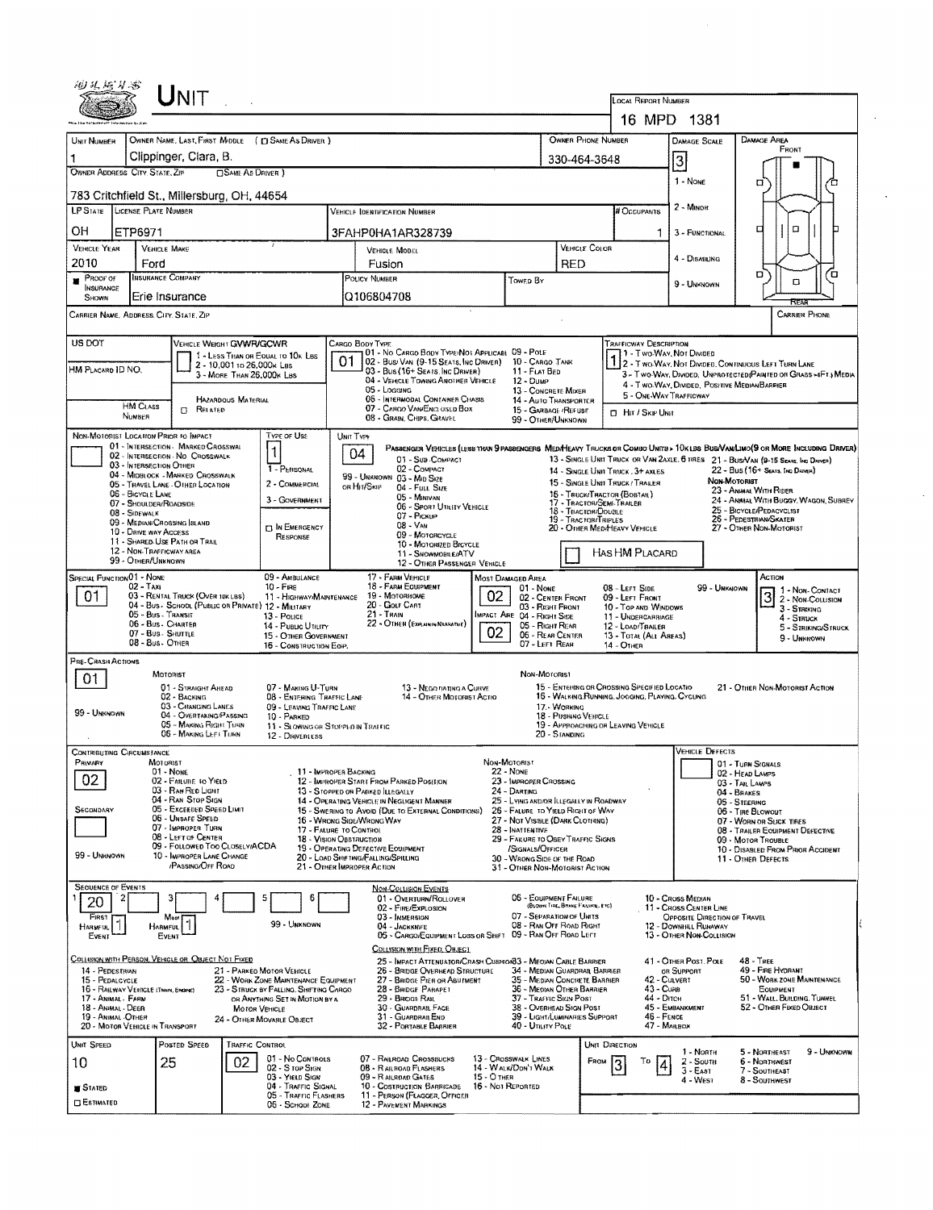| UNIT                                                                                                                                                                                                                                                                                                                                                                                            |                                                                                                                                         |                                                                                               |                                                                                                                             |  |  |  |  |  |  |
|-------------------------------------------------------------------------------------------------------------------------------------------------------------------------------------------------------------------------------------------------------------------------------------------------------------------------------------------------------------------------------------------------|-----------------------------------------------------------------------------------------------------------------------------------------|-----------------------------------------------------------------------------------------------|-----------------------------------------------------------------------------------------------------------------------------|--|--|--|--|--|--|
|                                                                                                                                                                                                                                                                                                                                                                                                 |                                                                                                                                         | LOCAL REPORT NUMBER<br>16 MPD 1381                                                            |                                                                                                                             |  |  |  |  |  |  |
| OWNER NAME, LAST, FIRST MIDDLE ( [] SAME AS DRIVER )<br>UNIT NUMBER                                                                                                                                                                                                                                                                                                                             | OWNER PHONE NUMBER                                                                                                                      | <b>DAMAGE SCALE</b><br><b>DAMAGE AREA</b>                                                     |                                                                                                                             |  |  |  |  |  |  |
| Clippinger, Clara, B.                                                                                                                                                                                                                                                                                                                                                                           | 330-464-3648                                                                                                                            | FRONT<br>3                                                                                    |                                                                                                                             |  |  |  |  |  |  |
| OWNER ADDRESS CITY, STATE, ZIP<br><b>CISAME AS DRIVER</b> )                                                                                                                                                                                                                                                                                                                                     | 1 - None<br>□                                                                                                                           |                                                                                               |                                                                                                                             |  |  |  |  |  |  |
| 783 Critchfield St., Millersburg, OH, 44654<br>LP STATE LICENSE PLATE NUMBER                                                                                                                                                                                                                                                                                                                    | # Occupants                                                                                                                             | 2 - MINOR                                                                                     |                                                                                                                             |  |  |  |  |  |  |
| ОН<br>ETP6971                                                                                                                                                                                                                                                                                                                                                                                   | VEHICLE IDENTIFICATION NUMBER<br>3FAHP0HA1AR328739                                                                                      |                                                                                               | $\Box$<br>□<br>1<br>3 - FUNCTIONAL                                                                                          |  |  |  |  |  |  |
| <b>VEHICLE YEAR</b><br><b>VEHICLE MAKE</b>                                                                                                                                                                                                                                                                                                                                                      | VEHICLE MODEL                                                                                                                           | VEHICLE COLOR                                                                                 |                                                                                                                             |  |  |  |  |  |  |
| 2010<br>Ford<br>INSURANCE COMPANY                                                                                                                                                                                                                                                                                                                                                               | Fusion                                                                                                                                  | <b>RED</b>                                                                                    | 4 - DISABUNG<br>o<br>o                                                                                                      |  |  |  |  |  |  |
| PROOF OF<br><b>INSURANCE</b><br>Erie Insurance<br><b>SHOWN</b>                                                                                                                                                                                                                                                                                                                                  | POLICY NUMBER<br>Q106804708                                                                                                             | TOWED BY                                                                                      | O<br>9 - UNKNOWN                                                                                                            |  |  |  |  |  |  |
| CARRIER NAME, ADDRESS. CITY. STATE, ZIP                                                                                                                                                                                                                                                                                                                                                         |                                                                                                                                         |                                                                                               | CARRIER PHONE                                                                                                               |  |  |  |  |  |  |
| US DOT<br>VEHICLE WEIGHT GVWR/GCWR                                                                                                                                                                                                                                                                                                                                                              | CARGO BODY TYPE                                                                                                                         |                                                                                               | <b>TRAFFICWAY DESCRIPTION</b>                                                                                               |  |  |  |  |  |  |
| 1 - LESS THAN OR EQUAL TO 10K LBS<br>2 - 10,001 to 26,000k Les<br>HM PLACARD ID NO.                                                                                                                                                                                                                                                                                                             | 01 - No CARGO BODY TYPE/NOT APPLICABL 09 - POLE<br>01<br>02 - Busi Van (9-15 Seats, Inc Driver)                                         | 10 - Cargo Tanik                                                                              | 1 - Two-Way, Not Divided<br>1 2 - Two-Way, Not Divided, Continuous Left Turn Lane                                           |  |  |  |  |  |  |
| 3 - MORE THAN 26,000K LBS                                                                                                                                                                                                                                                                                                                                                                       | 03 - Bus (16+ Seats, Inc Driver)<br>04 - VEHICLE TOWING ANOTHER VEHICLE<br>05 - Logging                                                 | 11 - FLAT BED<br>$12 - D$ uMP<br>13 - CONCRETE MIXER                                          | 3 - Two-Way, DIVIDED, UNPROTECTED (PAINTED OF GRASS >4FT.) MEDIA<br>4 - T WO-WAY, DIVIDED, POSITIVE MEDIAN BARRIER          |  |  |  |  |  |  |
| <b>HAZARDOUS MATERIAL</b><br><b>HM CLASS</b><br><b>CI RELATED</b>                                                                                                                                                                                                                                                                                                                               | 06 - INTERMODAL CONTAINER CHASIS<br>07 - CARGO VAN/ENCLUSED BOX                                                                         | 14 - AUTO TRANSPORTER<br>15 - GARBAGE /REFUSE                                                 | 5 - ONE-WAY TRAFFICWAY<br><b>D</b> HIT / SKIP UNIT                                                                          |  |  |  |  |  |  |
| NUMBER<br>NON-MOTORIST LOCATION PRIOR TO IMPACT<br>Type of Use                                                                                                                                                                                                                                                                                                                                  | 08 - GRAIN, CHIPS, GRAVEL<br>UNIT TYPE                                                                                                  | 99 - OTHER/UNKNOWN                                                                            |                                                                                                                             |  |  |  |  |  |  |
| 01 - INTERSECTION - MARKED CROSSWAL<br>$\mathbf{1}$<br>02 - INTERSECTION - NO CROSSWALK                                                                                                                                                                                                                                                                                                         | 04                                                                                                                                      |                                                                                               | PASSENGER VENICLES (LESS THAN SPASSENGERS MEDIMEARY TRUCKS OR COMBO UNITS > 10KLBS BUB/VAN/LIMO(S OR MORE INCLUDING DRIVER) |  |  |  |  |  |  |
| 03 - INTERSECTION OTHER<br>1 - PERSONAL<br>04 - MIDBLOCK - MARKED CROSSWALK                                                                                                                                                                                                                                                                                                                     | 01 - Sub-COMPACT<br>02 - COMPACT<br>99 - UNKNOWN 03 - MID SIZE                                                                          | 14 - SINGLE UNIT TRUCK, 3+ AXLES                                                              | 13 - SINGLE UNIT TRUCK OR VAN 2AXLE, 6 TRES 21 - BUS/VAN (9-15 Seats, Inc Driver)<br>22 - Bus (16+ Seats, Inc Driver)       |  |  |  |  |  |  |
| 2 - COMMERCIAL<br>05 - TRAVEL LANE - OTHER LOCATION<br>06 - BICYCLE LANE<br>3 - GOVERNMENT                                                                                                                                                                                                                                                                                                      | OR HIT/SKIP<br>04 - FULL SIZE<br>05 - MINIVAN                                                                                           | 15 - SINGLE UNIT TRUCK / TRAILER<br>15 - TRUCK/TRACTOR (BOSTAIL)<br>17 - TRACTOR/SEMI-TRAILER | NON-MOTORIST<br>23 - ANIMAL WITH RIDER<br>24 - ANMAL WITH BUGGY, WAGON, SUBREY                                              |  |  |  |  |  |  |
| 07 - SHOULDER/ROADSIDE<br>08 - SIDEWALK<br>09 - MEDIAN/CROSSING SLAND                                                                                                                                                                                                                                                                                                                           | 06 - SPORT UTILITY VEHICLE<br>$07 - P_{IGKUP}$<br>$08 - V_{AN}$                                                                         | 18 - TRACTOR/DOUBLE<br>19 - TRACTOR/TRIPLES                                                   | 25 - BICYCLE/PEDACYCLIST<br>26 - PEDESTRIAN/SKATER                                                                          |  |  |  |  |  |  |
| <b>IN EMERGENCY</b><br>10 - DRIVE WAY ACCESS<br>RESPONSE<br>11 - SHARED-USE PATH OR TRAIL                                                                                                                                                                                                                                                                                                       | 09 - MOTORCYCLE<br>10 - MOTORIZED BICYCLE                                                                                               | 20 - OTHER MEDIHEAVY VEHICLE                                                                  | 27 - OTHER NON-MOTORIST                                                                                                     |  |  |  |  |  |  |
| 12 - NON-TRAFFICWAY AREA<br>99 - OTHER/UNKNOWN                                                                                                                                                                                                                                                                                                                                                  | 11 - SNOWMOBILE/ATV<br>12 - OTHER PASSENGER VEHICLE                                                                                     | HAS HM PLACARD                                                                                |                                                                                                                             |  |  |  |  |  |  |
| SPECIAL FUNCTION 01 - NONE<br>09 - AMBULANCE<br>02 - TAXI<br>$10 -$ Fire                                                                                                                                                                                                                                                                                                                        | 17 - FARM VEHICLE<br>MOST DAMAGED AREA<br>18 - FARM EQUIPMENT                                                                           | 01 - None<br>08 - LEFT SIDE                                                                   | ACTION<br>99 - UNKNOWN<br>1 - Non- CONTACT                                                                                  |  |  |  |  |  |  |
| 01<br>03 - RENTAL TRUCK (OVER 10KLBS)<br>11 - HIGHWAY/MAINTENANCE<br>04 - Bus - SCHOOL (PUBLIC OR PRIVATE) 12 - MILITARY<br>05 - Bus - Transit                                                                                                                                                                                                                                                  | 02<br>19 - Мотовноме<br>20 - Colf Cart<br>21 - Train                                                                                    | 02 - CENTER FRONT<br>09 - LEFT FRONT<br>03 - RIGHT FRONT<br>IMPACT ARE 04 - RIGHT SIDE        | 2 - NON-COLLISION<br>10 - TOP AND WINDOWS<br>$3 -$ Striking                                                                 |  |  |  |  |  |  |
| 13 - Pouce<br>06 - Bus - CHARTER<br>14 - PUBLIC UTILITY<br>07 - Bus - SHUTTLE<br>15 - OTHER GOVERNMENT                                                                                                                                                                                                                                                                                          | 22 - OTHER (EXPLANIN NASHATNE)<br>02                                                                                                    | 11 - UNDERCARRIAGE<br>05 - RIGHT REAR<br>12 - LOAD/TRAILER<br>06 - REAR CENTER                | 4 - STRUCK<br>5 - STRIKING/STRUCK<br>13 - TOTAL (ALL AREAS)                                                                 |  |  |  |  |  |  |
| 08 - Bus. OTHER<br>16 - CONSTRUCTION EOIP.                                                                                                                                                                                                                                                                                                                                                      |                                                                                                                                         | 07 - LEFT REAR<br>14 - OTHER                                                                  | 9 - UNKNOWN                                                                                                                 |  |  |  |  |  |  |
| PRE-CRASH ACTIONS<br>MOTORIST<br>01                                                                                                                                                                                                                                                                                                                                                             |                                                                                                                                         | NON-MOTORIST                                                                                  |                                                                                                                             |  |  |  |  |  |  |
| 01 - STRAIGHT AHEAD<br>07 - MAKING U-TURN<br>02 - BACKING<br>08 - ENTERING TRAFFIC LANE                                                                                                                                                                                                                                                                                                         | 13 - Nego hating a Curve<br><b>14 - OTHER MOTORIST ACTIO</b>                                                                            | 15 - ENTERING OR CROSSING SPECIFIED LOCATIO<br>16 - WALKING RUNNING, JOGGING, PLAYING, CYCUNG | 21 - OTHER NON-MOTORIST ACTION                                                                                              |  |  |  |  |  |  |
| 03 - CHANGING LANES<br>09 - LEAVING TRAFFIC LANE<br>99 - UNKNOWN<br>04 - OVERTAKING/PASSING<br>10 - PARKED<br>05 - MAKING RIGHT TURN                                                                                                                                                                                                                                                            | 11 - SLOWING OF STOPPED IN TRAFFIC                                                                                                      | 17 - Woaking<br>18 - PUSHING VEHICLE<br>19 - APPROACHING OR LEAVING VEHICLE                   |                                                                                                                             |  |  |  |  |  |  |
| 06 - MAKING LEFT TURN<br>12 - DRIVERLESS                                                                                                                                                                                                                                                                                                                                                        |                                                                                                                                         | 20 - STANDING                                                                                 |                                                                                                                             |  |  |  |  |  |  |
| <b>CONTRIBUTING CIRCUMSTANCE</b><br>PRIMARY<br>MOTORIST<br>01 - NONE                                                                                                                                                                                                                                                                                                                            | Non-Motorist<br><b>22 - NONE</b><br>11 - IMPROPER BACKING                                                                               |                                                                                               | <b>VEHICLE DEFECTS</b><br>01 - TURN SIGNALS                                                                                 |  |  |  |  |  |  |
| 02<br>02 - FAILURE TO YIELD<br>03 - RAN RED LIGHT                                                                                                                                                                                                                                                                                                                                               | 12 - IMPROPER START FROM PARKED POSITION<br>13 - STOPPED OR PARKED ILLEGALLY<br>24 - DARTING                                            | 23 - IMPROPER CROSSING                                                                        | 02 - HEAD LAMPS<br>03 - TAIL LAMPS<br>04 - BRAKES                                                                           |  |  |  |  |  |  |
| 04 - RAN STOP SIGN<br>SECONDARY<br>05 - Exceeded Speed Limit                                                                                                                                                                                                                                                                                                                                    | 14 - OPERATING VEHICLE IN NEGLIGENT MANNER<br>15 - SWERING TO AVOID (DUE TO EXTERNAL CONDITIONS)                                        | 25 - LYING AND/OR ILLEGALLY IN ROADWAY<br>26 - FALURE TO YIELD RIGHT OF WAY                   | 05 - STEERING<br>06 - TIRE BLOWOUT                                                                                          |  |  |  |  |  |  |
| 06 - UNSAFE SPEED<br>07 - IMPROPER TURN<br>08 - LEFT OF CENTER                                                                                                                                                                                                                                                                                                                                  | 16 - WRONG SIDE/WRONG WAY<br>28 - INATTENTIVE<br>17 - FALURE TO CONTROL<br>18 - VISION OBSTRUCTION                                      | 27 - NOT VISIBLE (DARK CLOTHING)<br>29 - FAILURE TO OBEY TRAFFIC SIGNS                        | 07 - WORN OR SUCK TIRES<br>08 - TRAILER EQUIPMENT DEFECTIVE                                                                 |  |  |  |  |  |  |
| 09 - FOLLOWED TOO CLOSELY/ACDA<br>99 - UNKNOWN<br>10 - IMPROPER LANE CHANGE                                                                                                                                                                                                                                                                                                                     | 19 - OPERATING DEFECTIVE EQUIPMENT<br>20 - LOAD SHIFTING/FALLING/SPILLING                                                               | /SIGNALS/OFFICER<br>30 - WRONG SIDE OF THE ROAD                                               | 09 - MOTOR TROUBLE<br>10 - DISABLED FROM PRIOR ACCIDENT<br>11 - OTHER DEFECTS                                               |  |  |  |  |  |  |
| /PASSING/OFF ROAD                                                                                                                                                                                                                                                                                                                                                                               | 21 - OTHER IMPROPER ACTION                                                                                                              | 31 - OTHER NON-MOTORIST ACTION                                                                |                                                                                                                             |  |  |  |  |  |  |
| <b>SEQUENCE OF EVENTS</b><br>5<br>6<br>20                                                                                                                                                                                                                                                                                                                                                       | <b>NON-COLLISION EVENTS</b><br>01 - OVERTURN/ROLLOVER                                                                                   | 06 - EQUIPMENT FAILURE<br>(BLOWN TIRE, BRAKE FAILURE, ETC)                                    | 10 - Cross Median                                                                                                           |  |  |  |  |  |  |
| FIRST<br>Moat<br>99 - UNKNOWN<br><b>HARMFUL</b><br><b>HARMFUL</b>                                                                                                                                                                                                                                                                                                                               | 02 - FIRE/EXPLOSION<br>03 - IMMERSION<br>04 - Jackknife                                                                                 | 07 - Separation of Units<br>08 - RAN OFF ROAD RIGHT                                           | 11 - CROSS CENTER LINE<br>OPPOSITE DIRECTION OF TRAVEL<br>12 - Downhill Rumaway                                             |  |  |  |  |  |  |
| EVENT<br>EVENT                                                                                                                                                                                                                                                                                                                                                                                  | 05 - CARGO/EQUIPMENT LOSS OR SHIFT<br>COLLISION WITH FIXED, OBJECT                                                                      | 09 - RAN OFF ROAD LEFT                                                                        | 13 - OTHER NON-COLLISION                                                                                                    |  |  |  |  |  |  |
| COLLISION WITH PERSON, VEHICLE OR OBJECT NOT FIXED<br>25 - IMPACT ATTENUATOR/CRASH CUSHION33 - MEOJAN CABLE BARRIER<br>41 - OTHER POST, POLE<br>48 - TREE<br>14 - PEDESTRIAN<br>21 - PARKED MOTOR VEHICLE<br>34 - MEDIAN GUARDRAIL BARRIER<br>49 - FIRE HYDRANT<br>26 - BRIDGE OVERHEAD STRUCTURE<br>OR SUPPORT                                                                                 |                                                                                                                                         |                                                                                               |                                                                                                                             |  |  |  |  |  |  |
| 35 - MEDIAN CONCRETE BARRIER<br>42 - Culvert<br>50 - WORK ZONE MAINTENANCE<br>15 - PEDALCYCLE<br>22 - WORK ZONE MAINTENANCE EQUIPMENT<br>27 - BRIDGE PIER OR ABUTMENT<br>28 - BRIDGE PARAPET<br>36 - Median Other Barrier<br>$43 - C$ ure<br>16 - RAILWAY VEHICLE (THAIR, ENGINE)<br>23 - STRUCK BY FALLING, SHIFTING CARGO<br>EQUIPMENT                                                        |                                                                                                                                         |                                                                                               |                                                                                                                             |  |  |  |  |  |  |
| 37 - TRAFFIC SIGN POST<br>44 - Опен<br>51 - WALL, BUILDING, TUNNEL<br>17 - Animal - FARM<br>OR ANYTHING SET IN MOTION BY A<br>29 - BRIDGE RAIL<br>45 - EMBANKMENT<br>52 - OTHER FIXED OBJECT<br>18 - ANIMAL - DEER<br><b>30 - GUARDRAIL FACE</b><br>38 - OVERHEAD SIGN POST<br><b>MOTOR VEHICLE</b><br>$46 -$ FENCE<br>19 - ANIMAL -OTHER<br>31 - GUARDRAILEND<br>39 - LIGHT/LUMINARIES SUPPORT |                                                                                                                                         |                                                                                               |                                                                                                                             |  |  |  |  |  |  |
| 24 - OTHER MOVABLE OBJECT<br>20 - MOTOR VEHICLE IN TRANSPORT                                                                                                                                                                                                                                                                                                                                    | 32 - PORTABLE BARRIER                                                                                                                   | 40 - Unury Pour                                                                               | 47 - MAILBOX                                                                                                                |  |  |  |  |  |  |
| UNIT SPEED<br>Posted Speed<br>TRAFFIC CONTROL<br>01 - No Controls<br>25<br>02<br>10                                                                                                                                                                                                                                                                                                             | 07 - RAILROAD CROSSBUCKS<br>13 - Crosswalk Lines                                                                                        | UNIT DIRECTION<br>FROM                                                                        | 9 - UNKNOWN<br>1 - North<br>5 - NORTHEAST<br>Τо<br>6 - NORTHWEST<br>$2 -$ South                                             |  |  |  |  |  |  |
| 02 - S rop Sign<br>03 - Yield Sign<br>04 - TRAFFIC SIGNAL                                                                                                                                                                                                                                                                                                                                       | 14 - WALK/DON'T WALK<br>08 - RAILROAD FLASHERS<br>15 - O THER<br>09 - RAILROAD GATES<br>16 - Not Reported<br>10 - Costruction Barricade |                                                                                               | $3 - East$<br>7 - SOUTHEAST<br>4 - WEST<br>8 - SOUTHWEST                                                                    |  |  |  |  |  |  |
| <b>STATED</b><br>05 - TRAFFIC FLASHERS<br>ESTIMATED<br>06 - School ZONE                                                                                                                                                                                                                                                                                                                         | 11 - PERSON (FLAGGER, OFFICER<br>12 - PAVEMENT MARKINGS                                                                                 |                                                                                               |                                                                                                                             |  |  |  |  |  |  |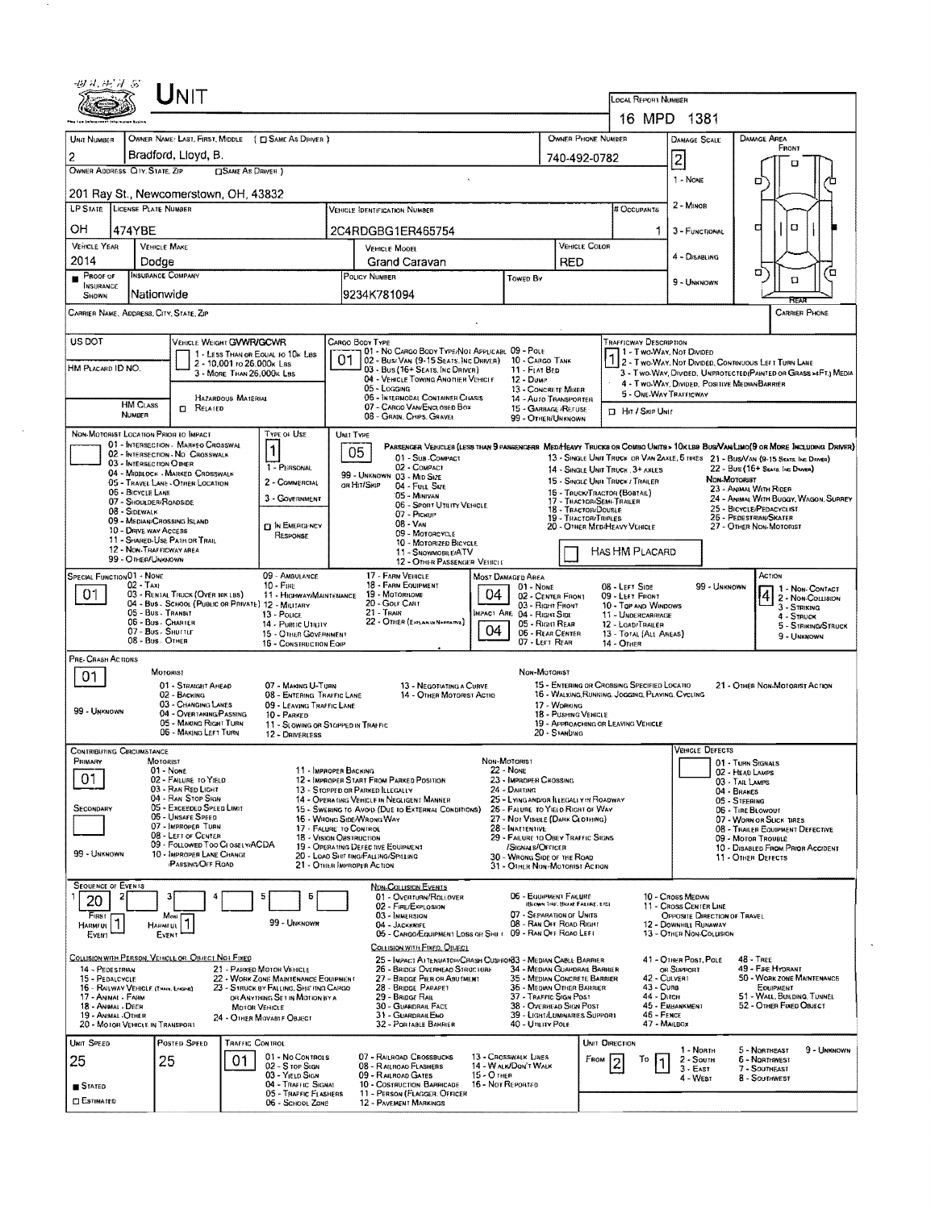|                                                                                                                                                                                                                                 | $\sf J$ NIT                                                                                                                                                                                                                                                                                                                                                                          |                                                                                                                                                                             |                                                                                                                                                                                                                                                                                                                                                                                                          |                                                                                                                                                                                                                                                                                                                                       |                                                                                                                                                                                                                           | LOCAL REPORT NOMBER                                                                                                                                    |                                                                                                                                                |                                                                                                                                                                                                                                                                                                                                                                                                                          |  |  |
|---------------------------------------------------------------------------------------------------------------------------------------------------------------------------------------------------------------------------------|--------------------------------------------------------------------------------------------------------------------------------------------------------------------------------------------------------------------------------------------------------------------------------------------------------------------------------------------------------------------------------------|-----------------------------------------------------------------------------------------------------------------------------------------------------------------------------|----------------------------------------------------------------------------------------------------------------------------------------------------------------------------------------------------------------------------------------------------------------------------------------------------------------------------------------------------------------------------------------------------------|---------------------------------------------------------------------------------------------------------------------------------------------------------------------------------------------------------------------------------------------------------------------------------------------------------------------------------------|---------------------------------------------------------------------------------------------------------------------------------------------------------------------------------------------------------------------------|--------------------------------------------------------------------------------------------------------------------------------------------------------|------------------------------------------------------------------------------------------------------------------------------------------------|--------------------------------------------------------------------------------------------------------------------------------------------------------------------------------------------------------------------------------------------------------------------------------------------------------------------------------------------------------------------------------------------------------------------------|--|--|
|                                                                                                                                                                                                                                 |                                                                                                                                                                                                                                                                                                                                                                                      |                                                                                                                                                                             |                                                                                                                                                                                                                                                                                                                                                                                                          |                                                                                                                                                                                                                                                                                                                                       |                                                                                                                                                                                                                           |                                                                                                                                                        | 16 MPD 1381                                                                                                                                    |                                                                                                                                                                                                                                                                                                                                                                                                                          |  |  |
| UNIT NUMBER                                                                                                                                                                                                                     | OWNER NAME: LAST, FIRST, MIDDLE ( C SAME AS DRIVER )                                                                                                                                                                                                                                                                                                                                 |                                                                                                                                                                             |                                                                                                                                                                                                                                                                                                                                                                                                          |                                                                                                                                                                                                                                                                                                                                       | OWNER PHONE NUMBER                                                                                                                                                                                                        |                                                                                                                                                        | <b>DAMAGE SCALE</b>                                                                                                                            | <b>DAMAGE AREA</b>                                                                                                                                                                                                                                                                                                                                                                                                       |  |  |
|                                                                                                                                                                                                                                 | Bradford, Llovd, B.                                                                                                                                                                                                                                                                                                                                                                  |                                                                                                                                                                             |                                                                                                                                                                                                                                                                                                                                                                                                          |                                                                                                                                                                                                                                                                                                                                       | 740-492-0782                                                                                                                                                                                                              |                                                                                                                                                        | $\overline{2}$                                                                                                                                 | FRONT<br>л                                                                                                                                                                                                                                                                                                                                                                                                               |  |  |
| OWNER ADDRESS CITY, STATE, ZIP                                                                                                                                                                                                  | <b>CISAME AS DRIVER</b> )<br>201 Ray St., Newcomerstown, OH, 43832                                                                                                                                                                                                                                                                                                                   |                                                                                                                                                                             |                                                                                                                                                                                                                                                                                                                                                                                                          |                                                                                                                                                                                                                                                                                                                                       |                                                                                                                                                                                                                           |                                                                                                                                                        | 1 - NONE                                                                                                                                       | o<br>п                                                                                                                                                                                                                                                                                                                                                                                                                   |  |  |
| <b>LP STATE LICENSE PLATE NUMBER</b>                                                                                                                                                                                            |                                                                                                                                                                                                                                                                                                                                                                                      |                                                                                                                                                                             | <b>VEHICLE IDENTIFICATION NUMBER</b>                                                                                                                                                                                                                                                                                                                                                                     |                                                                                                                                                                                                                                                                                                                                       |                                                                                                                                                                                                                           | # Occupants                                                                                                                                            | 2 - MINOR                                                                                                                                      |                                                                                                                                                                                                                                                                                                                                                                                                                          |  |  |
| ОH<br>474YBE                                                                                                                                                                                                                    |                                                                                                                                                                                                                                                                                                                                                                                      |                                                                                                                                                                             | 2C4RDGBG1ER465754                                                                                                                                                                                                                                                                                                                                                                                        |                                                                                                                                                                                                                                                                                                                                       |                                                                                                                                                                                                                           | 1.                                                                                                                                                     | 3 - FUNCTIONAL                                                                                                                                 | O<br>а                                                                                                                                                                                                                                                                                                                                                                                                                   |  |  |
| <b>VEHICLE YEAR</b>                                                                                                                                                                                                             | <b>VEHICLE MAKE</b>                                                                                                                                                                                                                                                                                                                                                                  |                                                                                                                                                                             | <b>VEHICLE MODEL</b>                                                                                                                                                                                                                                                                                                                                                                                     | <b>VEHICLE COLOR</b>                                                                                                                                                                                                                                                                                                                  |                                                                                                                                                                                                                           |                                                                                                                                                        |                                                                                                                                                |                                                                                                                                                                                                                                                                                                                                                                                                                          |  |  |
| 2014                                                                                                                                                                                                                            | Dodge                                                                                                                                                                                                                                                                                                                                                                                |                                                                                                                                                                             | Grand Caravan                                                                                                                                                                                                                                                                                                                                                                                            |                                                                                                                                                                                                                                                                                                                                       | <b>RED</b>                                                                                                                                                                                                                |                                                                                                                                                        | 4 - DISABLING                                                                                                                                  |                                                                                                                                                                                                                                                                                                                                                                                                                          |  |  |
| Proof of<br><b>INSURANCE</b><br>SHOWN                                                                                                                                                                                           | <b>INSURANCE COMPANY</b><br>Nationwide                                                                                                                                                                                                                                                                                                                                               |                                                                                                                                                                             | POLICY NUMBER<br>9234K781094                                                                                                                                                                                                                                                                                                                                                                             | Towed By                                                                                                                                                                                                                                                                                                                              |                                                                                                                                                                                                                           |                                                                                                                                                        | 9 - UNKNOWN                                                                                                                                    | σ<br>ά<br>$\Box$                                                                                                                                                                                                                                                                                                                                                                                                         |  |  |
|                                                                                                                                                                                                                                 | CARRIER NAME, ADDRESS, CITY, STATE, ZIP                                                                                                                                                                                                                                                                                                                                              |                                                                                                                                                                             |                                                                                                                                                                                                                                                                                                                                                                                                          |                                                                                                                                                                                                                                                                                                                                       |                                                                                                                                                                                                                           |                                                                                                                                                        |                                                                                                                                                | <b>CARRIER PHONE</b>                                                                                                                                                                                                                                                                                                                                                                                                     |  |  |
| US DOT<br>VEHICLE WEIGHT GVWR/GCWR<br>1 - LESS THAN OR EQUAL TO 10K LBS<br>2 - 10,001 ro 26,000k Las<br>HM PLACARD ID NO.<br>3 - MORE THAN 26.000K LBS<br><b>HAZARDOUS MATERIAL</b><br><b>HM CLASS</b><br>$n$ Related<br>NUMBER |                                                                                                                                                                                                                                                                                                                                                                                      |                                                                                                                                                                             | CARGO BODY TYPE<br>01 - No CARGO BODY TYPE/NOT APPLICABL 09 - POLE<br>01<br>02 - Busi Van (9-15 Seats, NC DRIVER) 10 - CARGO TANK<br>03 - Bus (16+ Seats, Inc Driver)<br>04 - VEHICLE TOWING ANOTHER VEHICLE<br>05 - Logging<br>06 - Intermodal Container Chasis<br>07 - CARGO VAN/ENCLOSED BOX<br>08 - GRAIN, CHIPS, GRAVEL                                                                             | 12 - Duwe                                                                                                                                                                                                                                                                                                                             | TRAFFICWAY DESCRIPTION<br>11 - Two-Way, Not Divided<br>11 - FLAT BED<br>13 - CONCRETE MIXER<br>5 - ONE-WAY TRAFFICWAY<br>14 - AUTO TRANSPORTER<br>15 - GARBAGE /REFUSE<br><b>El Hin / Skip Unit</b><br>99 - OTHER/UNKNOWN |                                                                                                                                                        |                                                                                                                                                | 2 - Two Way, Not Divided, Continuous Left Turn Lane<br>3 - Two-WAY, DIVIDED, UNPROTECTED(PAINTED OR GRASS >4FT.) MEDIA<br>4 - TWO-WAY, DIVIDED, POSITIVE MEDIAN BARRIER                                                                                                                                                                                                                                                  |  |  |
| 06 - BICYCLE LANE<br>08 - SIDEWALK                                                                                                                                                                                              | NON-MOTORIST LOCATION PRIOR TO IMPACT<br>01 - INTERSECTION MARKED CROSSWAL<br>02 - INTERSECTION NO CROSSWALK<br>03 - INTERSECTION OTHER<br>04 - MIDBLOCK - MARKED CROSSWALK<br>05 - TRAVEL LANE - OTHER LOCATION<br>07 - Shoulder/Roadside<br>09 - MEDIAN/CROSSING SLAND<br>10 - DRIVE WAY ACCESS<br>11 - SHARED-USE PATH OR TRAIL<br>12 - NON-TRAFFICWAY AREA<br>99 - OTHER/UNKNOWN | TYPE OF USE<br>1<br>1 - PERSONAL<br>2 - COMMERCIAL<br>3 - GOVERNMENT<br><b>D IN EMERGENCY</b><br>RESPONSE                                                                   | UNIT TYPE<br>05<br>01 - Sub-COMPACT<br>02 - COMPACT<br>99 - UNKNOWN 03 - MID SIZE<br>or Hit/Skip<br>04 - FULL SIZE<br>05 - MINIVAN<br>06 - Sport Uthity Vehicle<br>07 - PICKUP<br>08 - VAN<br>09 - MOTORCYCLE<br>10 - MOTORIZED BICYCLE<br>11 - SNOWMOBILE/ATV<br>12 - OTHER PASSENGER VEHICLE                                                                                                           |                                                                                                                                                                                                                                                                                                                                       | 17 - THACTORISEMI-TRAILER<br>18 - TRACTORIDOUBLE<br>19 - TRACTOR/TRIPLES                                                                                                                                                  | 14 - SINGLE UNIT TRUCK, 3+ AXLES<br>15 - SINGLE UNII TRUCK / TRAILER<br>15 - TRUCK/TRACTOR (BOSTAIL)<br>20 - OTHER MEDIHEAVY VEHICLE<br>HAS HM PLACARD |                                                                                                                                                | PASSENGER VEHICLES (LESS THAN 9 PASSENGERS MEDIHEAVY TRUCKS OR COMSO UNITS > 10KLSS BUSNANLINO(9 OR MORE INCLUDING DRIVER)<br>13 - SINGLE UNIT TRUCK OR VAN ZAXLE, 5 TIRES 21 - BUS/VAN (9-15 SEATS, INC DRIVER)<br>22 - BUS (16+ SEATS, INC DRIVER)<br>NON-MOTORIST<br>23 - ANIMAL WITH RIDER<br>24 - ANIMAL WITH BUGGY, WAGON, SURREY<br>25 - BICYCLE/PEDACYCLIST<br>26 - PEDESTRIAN/SKATER<br>27 - OTHER NON-MOTORIST |  |  |
| <b>SPECIAL FUNCTION 01 - NONE</b><br>01                                                                                                                                                                                         | $02$ Taxi<br>03 - RENTAL TRUCK (OVER 10K LBS)<br>04 - Bus - SCHOOL (PUBLIC OR PRIVATE) 12 - MILITARY<br>05 - Bus . Transit<br>06 - Bus - Charler<br>07 - Bus - SHUTTLE<br>08 - Bus . OTHER                                                                                                                                                                                           | 09 - AMBULANCE<br>10 - Fine<br>11 - HIGHWAY/MAINTENANCE<br>13 - POLICE<br>14 - Pultic Uticity<br>15 - OTHER GOVERNMENT<br>16 - CONSTRUCTION EQIP                            | 17 - FARM VEHICLE<br>18 - FARM EQUIPMENT<br>19 - MOTORHOME<br>20 - GOLF CART<br>$21 -$ Train<br>22 - OTHER (EXHANDINAPRATIVE)                                                                                                                                                                                                                                                                            | <b>MOST DAMAGED AREA</b><br>01 - NONE<br>04.<br>03 - Right Front<br>MPACT ARE 04 - RIGHT SIDE<br>05 - Right Rear<br>04<br>05 - REAR CENTER<br>07 - Left Rear                                                                                                                                                                          | 02 - CENTER FRONT                                                                                                                                                                                                         | 08 - LEFT SIDE<br>09 - LEFT FRONT<br>10 - TOP AND WINDOWS<br>11 - UNDERCARRIAGE<br>12 - LOAD/TRAILER<br>13 - TOTAL (ALL AREAS)<br>14 - OTHER           | 99 - Unknown                                                                                                                                   | ACTION<br>1 - Non-Contact<br>2 - Non-Collision<br>3 - Striking<br>4 - STRUCK<br>5 - STRIKING/STRUCK<br>9 - UNKNOWN                                                                                                                                                                                                                                                                                                       |  |  |
| PRE- CRASH ACTIONS<br>U1<br>99 - UNKNOWN                                                                                                                                                                                        | MOTORIS!<br>01 - STRAIGHT AHEAD<br>02 - BACKING<br>03 - CHANGING LANES<br>04 - OVERTAKING PASSING<br>05 - MAKING RIGHT TURN<br>06 - MAKING LEFT TURN                                                                                                                                                                                                                                 | 07 - MAKING U-TURN<br>08 - ENTERING TRAFFIC LANE<br>09 - LEAVING TRAFFIC LANE<br>10 - PARKED<br>12 - DANERLESS                                                              | 13 - NEGOTIATING A CURVE<br>14 - OTHER MOTORIST ACTIO<br>11 - Slowing or Stopped in Traffic                                                                                                                                                                                                                                                                                                              | Non-Motorist                                                                                                                                                                                                                                                                                                                          | 17 - WORKING<br>18 - Pushing Vehicle<br>20 - STANDING                                                                                                                                                                     | 15 - ENTERING OR CROSSING SPECIFIED LOCATIO<br>16 - WALKING RUNNING, JOGGING, PLAYING, CYCLING<br>19 - APPROACHING OR LEAVING VEHICLE                  |                                                                                                                                                | 21 - OTHER NON-MOTORIST ACTION                                                                                                                                                                                                                                                                                                                                                                                           |  |  |
| <b>CONTRIBUTING CIRCUMSTANCE</b><br>Primary<br>01<br>SECONDARY<br>99 - Unknown                                                                                                                                                  | MOTORIST<br>01 - None<br>02 - FAILURE TO YIELD<br>03 - RAN RED LIGHT<br>04 - RAN STOP SIGN<br>05 - Exceeped Speed Limit<br>05 - Unsare Speed<br>07 - IMPROPER TURN<br>08 - LEFT OF CENTER<br>09 - FOLLOWED TOO CLOSELVACDA<br>10 - IMPROPER LANE CHANGE<br><b>PASSING OFF ROAD</b>                                                                                                   |                                                                                                                                                                             | 11 - IMPROPER BACKING<br>12 - IMPROPER START FROM PARKED POSITION<br>13 - STOPPED OR PARKED ILLEGALLY<br>14 - OPERATING VEHICLE IN NEGLIGENT MANNER<br>15 - Swering to Avoid (Due to External Conditions)<br>16 - WRONG SIDE AVRONG WAY<br>17 - FALURE TO CONTROL<br>18 - Vision OBSTRUCTION<br>19 - OPERATING DEFECTIVE EQUIPMENT<br>20 - LOAD SHIF TING/FALLING/SPILLING<br>21 - OTHER IMPROPER ACTION | NON-MOTORIST<br>22 - NONE<br>23 - IMPROPER CHOSSING<br>24 - DARTING<br>25 - LYING ANDIOR ILLEGALLY IN ROADWAY<br>25 - FALURE TO YIELD RIGHT OF WAY<br>27 - Not Visiele (DARK CLOTHING)<br>28 - INATTENTIVE<br>29 - FAILURE TO OBEY TRAFFIC SIGNS<br>/SIGNALS/OFFICER<br>30 - WRONG SIDE OF THE ROAD<br>31 - OTHER NON-MOTORIST ACTION |                                                                                                                                                                                                                           |                                                                                                                                                        | <b>VEHICLE DEFECTS</b>                                                                                                                         | 01 - TURN SIGNALS<br>02 - Head Lamps<br>03 - TAIL LAMPS<br>04 - BRAKES<br><b>05 - STEERING</b><br>06 - TIRE BLOWOUT<br>07 - WORN OR SLICK TIRES<br>08 - TRAILER EQUIPMENT DEFECTIVE<br>09 - MOTOR TROUBLE<br>10 - DISABLED FROM PRIOR ACCIDENT<br>11 - OTHER DEFECTS                                                                                                                                                     |  |  |
| <b>SEQUENCE OF EVENTS</b><br>20<br>Finst<br><b>HARMFUL</b><br>EVEN1                                                                                                                                                             | Most<br><b>HARMEUL</b><br>EVENT                                                                                                                                                                                                                                                                                                                                                      | 5<br>6<br>99 - UNKNOWN                                                                                                                                                      | NON-COLLISION EVENTS<br>01 - Overturn/Rollover<br>02 - FIRE/EXPLOSION<br>03 - IMMERSION<br>04 - JACKKNIFE<br>05 - CARGO/EQUIPMENT LOSS OR SHIFT<br>COLLISION WITH FIXED, OBJECT                                                                                                                                                                                                                          |                                                                                                                                                                                                                                                                                                                                       | 06 - EQUIPMENT FAILURE<br><b>IBICHIN TIRE, BRANE FARARE, ETC)</b><br>07 - SEPARATION OF UNITS<br>08 - RAN OFF ROAD RIGHT<br>09 - RAN OFF ROAD LEFT                                                                        |                                                                                                                                                        | 10 - Cross Median<br>11 - Cross Center Line<br><b>OPPOSITE DIRECTION OF TRAVEL</b><br>12 - DOWNHILL RUNAWAY<br><b>13 - OTHER NON-COLLISION</b> |                                                                                                                                                                                                                                                                                                                                                                                                                          |  |  |
| 14 - PEDESTRIAN<br>15 - PEDALCYCLE<br>16 - RAILWAY VEHICLE (TRAIN, EMOINE)<br>17 - Animal - Farm<br>18 - Animal - Deer<br>19 - ANIMAL -OTHER<br>20 - MOIOR VEHICLE IN TRANSPORT                                                 | COLLISION WITH PERSON, VEHICLE OR OBJECT NOT FIXED<br><b>MOTOR VEHICLE</b>                                                                                                                                                                                                                                                                                                           | 21 - PARKED MOTOR VEHICLE<br>22 - WORK ZONE MAINTENANCE EQUIPMENT<br>23 - STRUCK BY FALLING, SHIF FING CARGO<br>OR ANYTHING SET IN MOTION BY A<br>24 - OTHER MOVABLE OBJECT | 25 - IMPACT ATTENDATOH/CRASH CUSHION33 - MEDIAN CABLE BARRIER<br>26 - BRIDGE OVERHEAD STRUCTURE<br>27 - BRIDGE PIER OR ABU MENT<br>28 - BRIDGE PARAPET<br>29 - Bridge Rail<br>30 - GUARDRAIL FACE<br>31 - GUARDRAILEND<br>32 - PORTABLE BAHRIER                                                                                                                                                          | 37 - Traffic Sign Post<br>40 - Unure Pole                                                                                                                                                                                                                                                                                             | 34 - MEDIAN GUARDRAIL BARRIER<br>35 - MEDIAN CONCRETE BARRIER<br>36 - MEDIAN OTHER BARRIER<br>38 - Overhead Sign Post<br>39 - LIGHT/LUMINARIES SUPPORT                                                                    | 42 - Culvent<br>$43 - C$ URB<br>44 - Олсн<br>46 - FENCE<br>47 - MAILBOX                                                                                | 41 - OTHER POST, POLE<br>OR SUPPORT<br>45 - EMBANKMENT                                                                                         | $48 - T$ REE<br>49 - FIRE HYDRANT<br>50 - WORK ZONE MAINTENANCE<br>EDUIPMENT<br>51 - WALL, BUILDING, TUNNEL<br>52 - OTHER FIXED OBJECT                                                                                                                                                                                                                                                                                   |  |  |
| UNIT SPEED<br>25<br>∎ Stated<br><b>CI ESTIMATED</b>                                                                                                                                                                             | POSTED SPEED<br>TRAFFIC CONTROL<br>25<br>01                                                                                                                                                                                                                                                                                                                                          | 01 - No CONTROLS<br>02 - S top Sign<br>03 - YIELD SIGN<br>04 - TRAFFIC SIGNAL<br>05 - TRAFFIC FLASHERS<br>06 - SCHOOL ZONE                                                  | 07 - RAILROAD CROSSBUCKS<br>08 - RAILROAD FLASHERS<br>09 - RAILROAD GATES<br>10 - Costruction Barricade<br>11 - PERSON (FLAGGER, OFFICER<br><b>12 - PAVEMENT MARKINGS</b>                                                                                                                                                                                                                                | 13 - CROSSWALK LINES<br>14 - W ALK/DON'T WALK<br>15 - O 1HER<br>16 - Not Reported                                                                                                                                                                                                                                                     | FROM                                                                                                                                                                                                                      | UNIT DIRECTION<br>To                                                                                                                                   | 1 - NORTH<br>$2 -$ South<br>$3 - EAST$<br>4 - West                                                                                             | 5 - NORTHEAST<br>9 - UNKNOWN<br>6 - NORTHWEST<br>7 - SOUTHEAST<br>8 SOUTHWEST                                                                                                                                                                                                                                                                                                                                            |  |  |

 $\sim 0.1$ 

 $\sim 10^6$